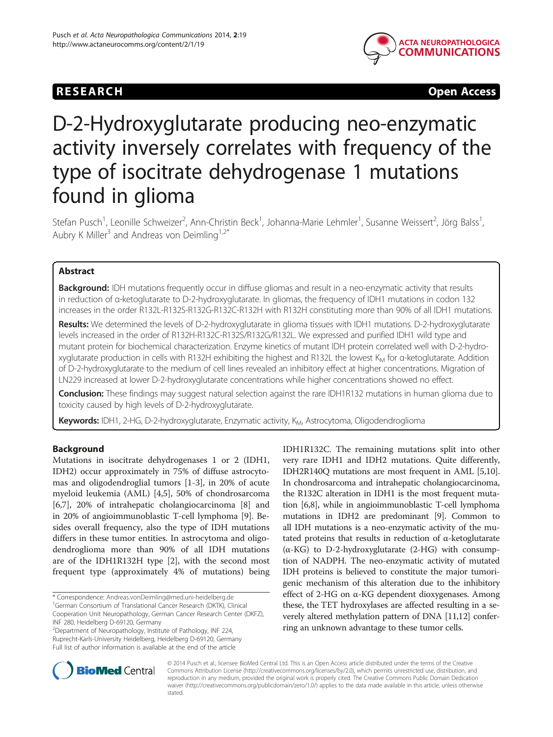# RESEARCH CHEAR CHEAR CHEAR CHEAR CHEAR CHEAR CHEAR CHEAR CHEAR CHEAR CHEAR CHEAR CHEAR CHEAR CHEAR CHEAR CHEAP



# D-2-Hydroxyglutarate producing neo-enzymatic activity inversely correlates with frequency of the type of isocitrate dehydrogenase 1 mutations found in glioma

Stefan Pusch<sup>1</sup>, Leonille Schweizer<sup>2</sup>, Ann-Christin Beck<sup>1</sup>, Johanna-Marie Lehmler<sup>1</sup>, Susanne Weissert<sup>2</sup>, Jörg Balss<sup>1</sup> , Aubry K Miller<sup>3</sup> and Andreas von Deimling<sup>1,2\*</sup>

# Abstract

Background: IDH mutations frequently occur in diffuse gliomas and result in a neo-enzymatic activity that results in reduction of α-ketoglutarate to D-2-hydroxyglutarate. In gliomas, the frequency of IDH1 mutations in codon 132 increases in the order R132L-R132S-R132G-R132C-R132H with R132H constituting more than 90% of all IDH1 mutations.

Results: We determined the levels of D-2-hydroxyglutarate in glioma tissues with IDH1 mutations. D-2-hydroxyglutarate levels increased in the order of R132H-R132C-R132S/R132G/R132L. We expressed and purified IDH1 wild type and mutant protein for biochemical characterization. Enzyme kinetics of mutant IDH protein correlated well with D-2-hydroxyglutarate production in cells with R132H exhibiting the highest and R132L the lowest  $K_M$  for a-ketoglutarate. Addition of D-2-hydroxyglutarate to the medium of cell lines revealed an inhibitory effect at higher concentrations. Migration of LN229 increased at lower D-2-hydroxyglutarate concentrations while higher concentrations showed no effect.

Conclusion: These findings may suggest natural selection against the rare IDH1R132 mutations in human glioma due to toxicity caused by high levels of D-2-hydroxyglutarate.

Keywords: IDH1, 2-HG, D-2-hydroxyglutarate, Enzymatic activity, K<sub>M</sub>, Astrocytoma, Oligodendroglioma

# Background

Mutations in isocitrate dehydrogenases 1 or 2 (IDH1, IDH2) occur approximately in 75% of diffuse astrocytomas and oligodendroglial tumors [\[1-3](#page-8-0)], in 20% of acute myeloid leukemia (AML) [[4,5\]](#page-8-0), 50% of chondrosarcoma [[6,7\]](#page-8-0), 20% of intrahepatic cholangiocarcinoma [\[8](#page-9-0)] and in 20% of angioimmunoblastic T-cell lymphoma [\[9\]](#page-9-0). Besides overall frequency, also the type of IDH mutations differs in these tumor entities. In astrocytoma and oligodendroglioma more than 90% of all IDH mutations are of the IDH1R132H type [\[2](#page-8-0)], with the second most frequent type (approximately 4% of mutations) being

\* Correspondence: [Andreas.vonDeimling@med.uni-heidelberg.de](mailto:Andreas.vonDeimling@med.uni-heidelberg.de) <sup>1</sup>

Cooperation Unit Neuropathology, German Cancer Research Center (DKFZ), INF 280, Heidelberg D-69120, Germany

2 Department of Neuropathology, Institute of Pathology, INF 224, Ruprecht-Karls-University Heidelberg, Heidelberg D-69120, Germany Full list of author information is available at the end of the article

IDH1R132C. The remaining mutations split into other very rare IDH1 and IDH2 mutations. Quite differently, IDH2R140Q mutations are most frequent in AML [[5,](#page-8-0)[10](#page-9-0)]. In chondrosarcoma and intrahepatic cholangiocarcinoma, the R132C alteration in IDH1 is the most frequent mutation [\[6](#page-8-0)[,8](#page-9-0)], while in angioimmunoblastic T-cell lymphoma mutations in IDH2 are predominant [[9\]](#page-9-0). Common to all IDH mutations is a neo-enzymatic activity of the mutated proteins that results in reduction of α-ketoglutarate  $(\alpha$ -KG) to D-2-hydroxyglutarate (2-HG) with consumption of NADPH. The neo-enzymatic activity of mutated IDH proteins is believed to constitute the major tumorigenic mechanism of this alteration due to the inhibitory effect of 2-HG on α-KG dependent dioxygenases. Among these, the TET hydroxylases are affected resulting in a severely altered methylation pattern of DNA [\[11,12\]](#page-9-0) conferring an unknown advantage to these tumor cells.



© 2014 Pusch et al.; licensee BioMed Central Ltd. This is an Open Access article distributed under the terms of the Creative Commons Attribution License [\(http://creativecommons.org/licenses/by/2.0\)](http://creativecommons.org/licenses/by/2.0), which permits unrestricted use, distribution, and reproduction in any medium, provided the original work is properly cited. The Creative Commons Public Domain Dedication waiver [\(http://creativecommons.org/publicdomain/zero/1.0/\)](http://creativecommons.org/publicdomain/zero/1.0/) applies to the data made available in this article, unless otherwise stated.

<sup>&</sup>lt;sup>1</sup>German Consortium of Translational Cancer Research (DKTK), Clinical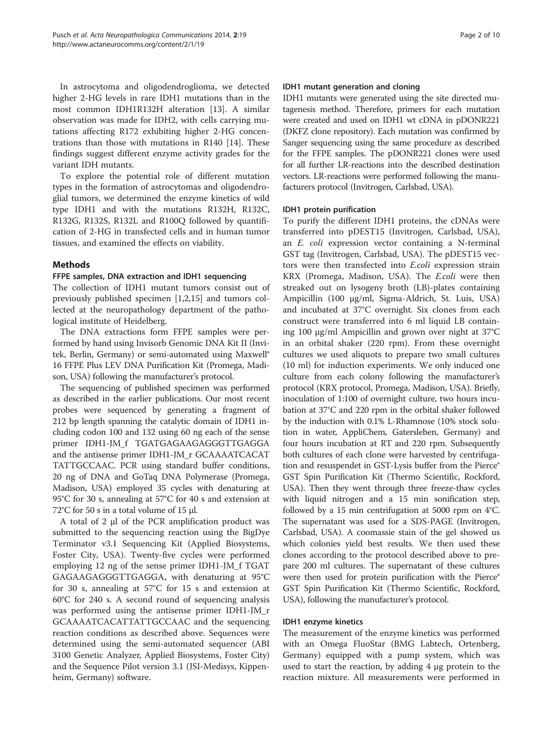In astrocytoma and oligodendroglioma, we detected higher 2-HG levels in rare IDH1 mutations than in the most common IDH1R132H alteration [\[13](#page-9-0)]. A similar observation was made for IDH2, with cells carrying mutations affecting R172 exhibiting higher 2-HG concentrations than those with mutations in R140 [\[14\]](#page-9-0). These findings suggest different enzyme activity grades for the variant IDH mutants.

To explore the potential role of different mutation types in the formation of astrocytomas and oligodendroglial tumors, we determined the enzyme kinetics of wild type IDH1 and with the mutations R132H, R132C, R132G, R132S, R132L and R100Q followed by quantification of 2-HG in transfected cells and in human tumor tissues, and examined the effects on viability.

# Methods

#### FFPE samples, DNA extraction and IDH1 sequencing

The collection of IDH1 mutant tumors consist out of previously published specimen [\[1](#page-8-0),[2](#page-8-0),[15](#page-9-0)] and tumors collected at the neuropathology department of the pathological institute of Heidelberg.

The DNA extractions form FFPE samples were performed by hand using Invisorb Genomic DNA Kit II (Invitek, Berlin, Germany) or semi-automated using Maxwell® 16 FFPE Plus LEV DNA Purification Kit (Promega, Madison, USA) following the manufacturer's protocol.

The sequencing of published specimen was performed as described in the earlier publications. Our most recent probes were sequenced by generating a fragment of 212 bp length spanning the catalytic domain of IDH1 including codon 100 and 132 using 60 ng each of the sense primer IDH1-JM\_f TGATGAGAAGAGGGTTGAGGA and the antisense primer IDH1-JM\_r GCAAAATCACAT TATTGCCAAC. PCR using standard buffer conditions, 20 ng of DNA and GoTaq DNA Polymerase (Promega, Madison, USA) employed 35 cycles with denaturing at 95°C for 30 s, annealing at 57°C for 40 s and extension at 72°C for 50 s in a total volume of 15 μl.

A total of 2 μl of the PCR amplification product was submitted to the sequencing reaction using the BigDye Terminator v3.1 Sequencing Kit (Applied Biosystems, Foster City, USA). Twenty-five cycles were performed employing 12 ng of the sense primer IDH1-JM\_f TGAT GAGAAGAGGGTTGAGGA, with denaturing at 95°C for 30 s, annealing at 57°C for 15 s and extension at 60°C for 240 s. A second round of sequencing analysis was performed using the antisense primer IDH1-JM\_r GCAAAATCACATTATTGCCAAC and the sequencing reaction conditions as described above. Sequences were determined using the semi-automated sequencer (ABI 3100 Genetic Analyzer, Applied Biosystems, Foster City) and the Sequence Pilot version 3.1 (JSI-Medisys, Kippenheim, Germany) software.

#### IDH1 mutant generation and cloning

IDH1 mutants were generated using the site directed mutagenesis method. Therefore, primers for each mutation were created and used on IDH1 wt cDNA in pDONR221 (DKFZ clone repository). Each mutation was confirmed by Sanger sequencing using the same procedure as described for the FFPE samples. The pDONR221 clones were used for all further LR-reactions into the described destination vectors. LR-reactions were performed following the manufacturers protocol (Invitrogen, Carlsbad, USA).

#### IDH1 protein purification

To purify the different IDH1 proteins, the cDNAs were transferred into pDEST15 (Invitrogen, Carlsbad, USA), an E. coli expression vector containing a N-terminal GST tag (Invitrogen, Carlsbad, USA). The pDEST15 vectors were then transfected into E.coli expression strain KRX (Promega, Madison, USA). The E.coli were then streaked out on lysogeny broth (LB)-plates containing Ampicillin (100 μg/ml, Sigma-Aldrich, St. Luis, USA) and incubated at 37°C overnight. Six clones from each construct were transferred into 6 ml liquid LB containing 100 μg/ml Ampicillin and grown over night at 37°C in an orbital shaker (220 rpm). From these overnight cultures we used aliquots to prepare two small cultures (10 ml) for induction experiments. We only induced one culture from each colony following the manufacturer's protocol (KRX protocol, Promega, Madison, USA). Briefly, inoculation of 1:100 of overnight culture, two hours incubation at 37°C and 220 rpm in the orbital shaker followed by the induction with 0.1% L-Rhamnose (10% stock solution in water, AppliChem, Gatersleben, Germany) and four hours incubation at RT and 220 rpm. Subsequently both cultures of each clone were harvested by centrifugation and resuspendet in GST-Lysis buffer from the Pierce® GST Spin Purification Kit (Thermo Scientific, Rockford, USA). Then they went through three freeze-thaw cycles with liquid nitrogen and a 15 min sonification step, followed by a 15 min centrifugation at 5000 rpm on 4°C. The supernatant was used for a SDS-PAGE (Invitrogen, Carlsbad, USA). A coomassie stain of the gel showed us which colonies yield best results. We then used these clones according to the protocol described above to prepare 200 ml cultures. The supernatant of these cultures were then used for protein purification with the Pierce® GST Spin Purification Kit (Thermo Scientific, Rockford, USA), following the manufacturer's protocol.

#### IDH1 enzyme kinetics

The measurement of the enzyme kinetics was performed with an Omega FluoStar (BMG Labtech, Ortenberg, Germany) equipped with a pump system, which was used to start the reaction, by adding 4 μg protein to the reaction mixture. All measurements were performed in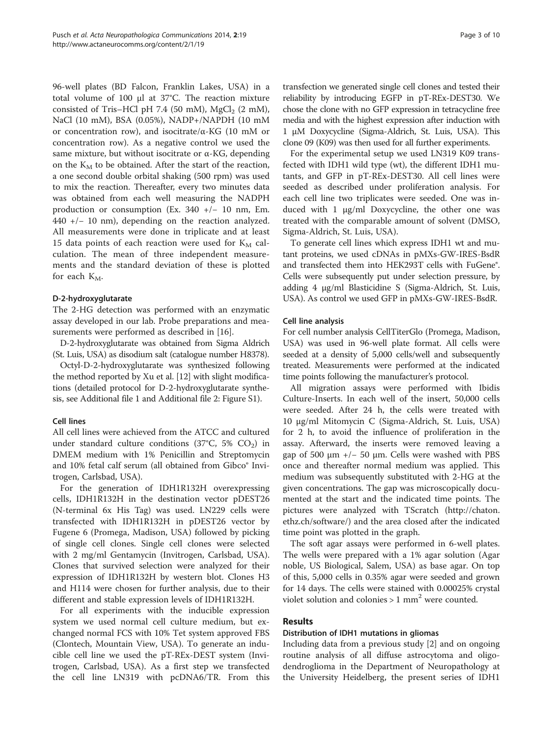96-well plates (BD Falcon, Franklin Lakes, USA) in a total volume of 100 μl at 37°C. The reaction mixture consisted of Tris–HCl pH 7.4 (50 mM),  $MgCl<sub>2</sub>$  (2 mM), NaCl (10 mM), BSA (0.05%), NADP+/NAPDH (10 mM or concentration row), and isocitrate/α-KG (10 mM or concentration row). As a negative control we used the same mixture, but without isocitrate or α-KG, depending on the  $K_M$  to be obtained. After the start of the reaction, a one second double orbital shaking (500 rpm) was used to mix the reaction. Thereafter, every two minutes data was obtained from each well measuring the NADPH production or consumption (Ex. 340 +/− 10 nm, Em. 440 +/− 10 nm), depending on the reaction analyzed. All measurements were done in triplicate and at least 15 data points of each reaction were used for  $K_M$  calculation. The mean of three independent measurements and the standard deviation of these is plotted for each  $K_M$ .

#### D-2-hydroxyglutarate

The 2-HG detection was performed with an enzymatic assay developed in our lab. Probe preparations and measurements were performed as described in [[16\]](#page-9-0).

D-2-hydroxyglutarate was obtained from Sigma Aldrich (St. Luis, USA) as disodium salt (catalogue number H8378).

Octyl-D-2-hydroxyglutarate was synthesized following the method reported by Xu et al. [\[12\]](#page-9-0) with slight modifications (detailed protocol for D-2-hydroxyglutarate synthesis, see Additional file [1](#page-8-0) and Additional file [2:](#page-8-0) Figure S1).

# Cell lines

All cell lines were achieved from the ATCC and cultured under standard culture conditions (37°C, 5% CO<sub>2</sub>) in DMEM medium with 1% Penicillin and Streptomycin and 10% fetal calf serum (all obtained from Gibco® Invitrogen, Carlsbad, USA).

For the generation of IDH1R132H overexpressing cells, IDH1R132H in the destination vector pDEST26 (N-terminal 6x His Tag) was used. LN229 cells were transfected with IDH1R132H in pDEST26 vector by Fugene 6 (Promega, Madison, USA) followed by picking of single cell clones. Single cell clones were selected with 2 mg/ml Gentamycin (Invitrogen, Carlsbad, USA). Clones that survived selection were analyzed for their expression of IDH1R132H by western blot. Clones H3 and H114 were chosen for further analysis, due to their different and stable expression levels of IDH1R132H.

For all experiments with the inducible expression system we used normal cell culture medium, but exchanged normal FCS with 10% Tet system approved FBS (Clontech, Mountain View, USA). To generate an inducible cell line we used the pT-REx-DEST system (Invitrogen, Carlsbad, USA). As a first step we transfected the cell line LN319 with pcDNA6/TR. From this transfection we generated single cell clones and tested their reliability by introducing EGFP in pT-REx-DEST30. We chose the clone with no GFP expression in tetracycline free media and with the highest expression after induction with 1 μM Doxycycline (Sigma-Aldrich, St. Luis, USA). This clone 09 (K09) was then used for all further experiments.

For the experimental setup we used LN319 K09 transfected with IDH1 wild type (wt), the different IDH1 mutants, and GFP in pT-REx-DEST30. All cell lines were seeded as described under proliferation analysis. For each cell line two triplicates were seeded. One was induced with 1 μg/ml Doxycycline, the other one was treated with the comparable amount of solvent (DMSO, Sigma-Aldrich, St. Luis, USA).

To generate cell lines which express IDH1 wt and mutant proteins, we used cDNAs in pMXs-GW-IRES-BsdR and transfected them into HEK293T cells with FuGene®. Cells were subsequently put under selection pressure, by adding 4 μg/ml Blasticidine S (Sigma-Aldrich, St. Luis, USA). As control we used GFP in pMXs-GW-IRES-BsdR.

#### Cell line analysis

For cell number analysis CellTiterGlo (Promega, Madison, USA) was used in 96-well plate format. All cells were seeded at a density of 5,000 cells/well and subsequently treated. Measurements were performed at the indicated time points following the manufacturer's protocol.

All migration assays were performed with Ibidis Culture-Inserts. In each well of the insert, 50,000 cells were seeded. After 24 h, the cells were treated with 10 μg/ml Mitomycin C (Sigma-Aldrich, St. Luis, USA) for 2 h, to avoid the influence of proliferation in the assay. Afterward, the inserts were removed leaving a gap of 500  $\mu$ m +/− 50  $\mu$ m. Cells were washed with PBS once and thereafter normal medium was applied. This medium was subsequently substituted with 2-HG at the given concentrations. The gap was microscopically documented at the start and the indicated time points. The pictures were analyzed with TScratch [\(http://chaton.](http://chaton.ethz.ch/software/) [ethz.ch/software/](http://chaton.ethz.ch/software/)) and the area closed after the indicated time point was plotted in the graph.

The soft agar assays were performed in 6-well plates. The wells were prepared with a 1% agar solution (Agar noble, US Biological, Salem, USA) as base agar. On top of this, 5,000 cells in 0.35% agar were seeded and grown for 14 days. The cells were stained with 0.00025% crystal violet solution and colonies  $> 1$  mm<sup>2</sup> were counted.

# Results

#### Distribution of IDH1 mutations in gliomas

Including data from a previous study [[2\]](#page-8-0) and on ongoing routine analysis of all diffuse astrocytoma and oligodendroglioma in the Department of Neuropathology at the University Heidelberg, the present series of IDH1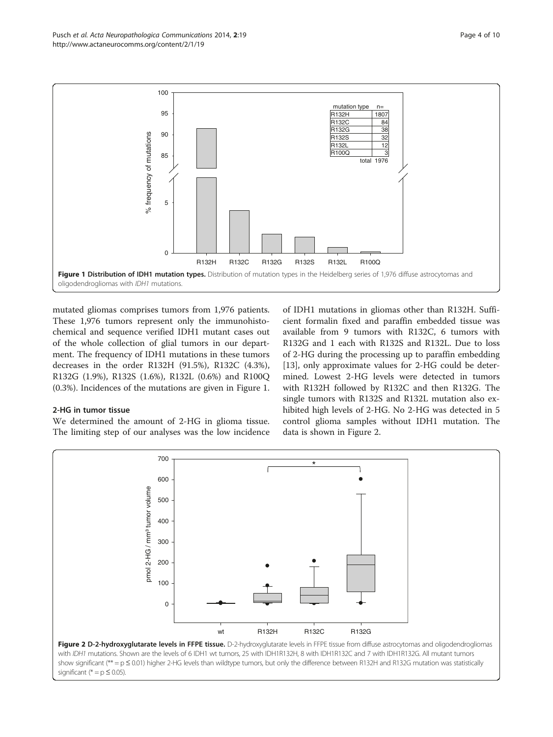

mutated gliomas comprises tumors from 1,976 patients. These 1,976 tumors represent only the immunohistochemical and sequence verified IDH1 mutant cases out of the whole collection of glial tumors in our department. The frequency of IDH1 mutations in these tumors decreases in the order R132H (91.5%), R132C (4.3%), R132G (1.9%), R132S (1.6%), R132L (0.6%) and R100Q (0.3%). Incidences of the mutations are given in Figure 1.

#### 2-HG in tumor tissue

We determined the amount of 2-HG in glioma tissue. The limiting step of our analyses was the low incidence

of IDH1 mutations in gliomas other than R132H. Sufficient formalin fixed and paraffin embedded tissue was available from 9 tumors with R132C, 6 tumors with R132G and 1 each with R132S and R132L. Due to loss of 2-HG during the processing up to paraffin embedding [[13\]](#page-9-0), only approximate values for 2-HG could be determined. Lowest 2-HG levels were detected in tumors with R132H followed by R132C and then R132G. The single tumors with R132S and R132L mutation also exhibited high levels of 2-HG. No 2-HG was detected in 5 control glioma samples without IDH1 mutation. The data is shown in Figure 2.

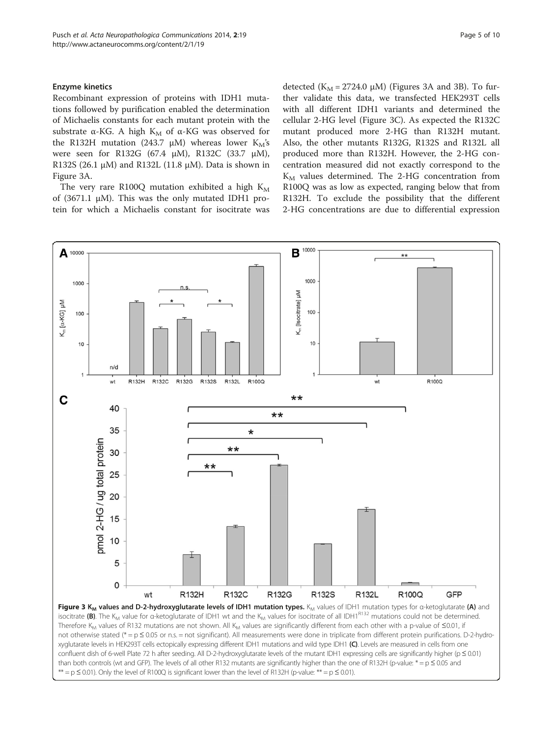#### <span id="page-4-0"></span>Enzyme kinetics

Recombinant expression of proteins with IDH1 mutations followed by purification enabled the determination of Michaelis constants for each mutant protein with the substrate  $\alpha$ -KG. A high K<sub>M</sub> of  $\alpha$ -KG was observed for the R132H mutation (243.7 μM) whereas lower  $K_M$ 's were seen for R132G (67.4 μM), R132C (33.7 μM), R132S (26.1  $\mu$ M) and R132L (11.8  $\mu$ M). Data is shown in Figure 3A.

The very rare R100Q mutation exhibited a high  $K_M$ of (3671.1 μM). This was the only mutated IDH1 protein for which a Michaelis constant for isocitrate was

detected ( $K_M$  = 2724.0  $\mu$ M) (Figures 3A and 3B). To further validate this data, we transfected HEK293T cells with all different IDH1 variants and determined the cellular 2-HG level (Figure 3C). As expected the R132C mutant produced more 2-HG than R132H mutant. Also, the other mutants R132G, R132S and R132L all produced more than R132H. However, the 2-HG concentration measured did not exactly correspond to the  $K_M$  values determined. The 2-HG concentration from R100Q was as low as expected, ranging below that from R132H. To exclude the possibility that the different 2-HG concentrations are due to differential expression

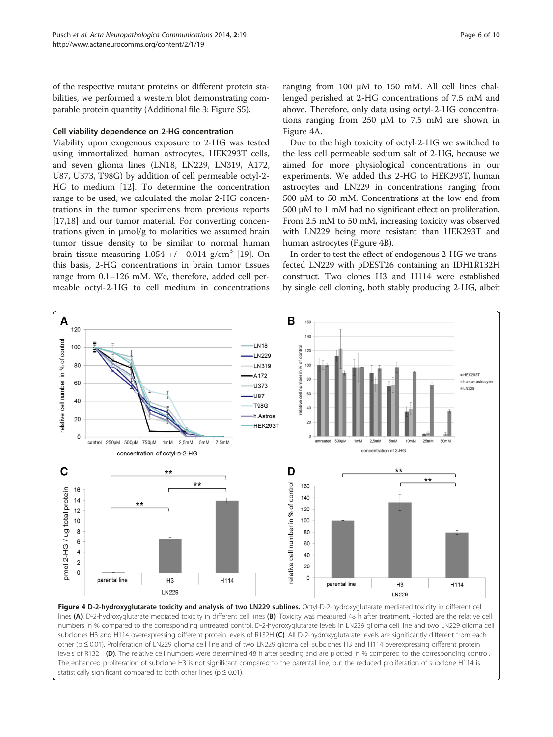<span id="page-5-0"></span>of the respective mutant proteins or different protein stabilities, we performed a western blot demonstrating comparable protein quantity (Additional file [3:](#page-8-0) Figure S5).

#### Cell viability dependence on 2-HG concentration

Viability upon exogenous exposure to 2-HG was tested using immortalized human astrocytes, HEK293T cells, and seven glioma lines (LN18, LN229, LN319, A172, U87, U373, T98G) by addition of cell permeable octyl-2- HG to medium [\[12](#page-9-0)]. To determine the concentration range to be used, we calculated the molar 2-HG concentrations in the tumor specimens from previous reports [[17,18\]](#page-9-0) and our tumor material. For converting concentrations given in μmol/g to molarities we assumed brain tumor tissue density to be similar to normal human brain tissue measuring  $1.054$  +/- 0.014 g/cm<sup>3</sup> [\[19](#page-9-0)]. On this basis, 2-HG concentrations in brain tumor tissues range from 0.1–126 mM. We, therefore, added cell permeable octyl-2-HG to cell medium in concentrations

ranging from 100 μM to 150 mM. All cell lines challenged perished at 2-HG concentrations of 7.5 mM and above. Therefore, only data using octyl-2-HG concentrations ranging from 250 μM to 7.5 mM are shown in Figure 4A.

Due to the high toxicity of octyl-2-HG we switched to the less cell permeable sodium salt of 2-HG, because we aimed for more physiological concentrations in our experiments. We added this 2-HG to HEK293T, human astrocytes and LN229 in concentrations ranging from 500 μM to 50 mM. Concentrations at the low end from 500 μM to 1 mM had no significant effect on proliferation. From 2.5 mM to 50 mM, increasing toxicity was observed with LN229 being more resistant than HEK293T and human astrocytes (Figure 4B).

In order to test the effect of endogenous 2-HG we transfected LN229 with pDEST26 containing an IDH1R132H construct. Two clones H3 and H114 were established by single cell cloning, both stably producing 2-HG, albeit



lines (A). D-2-hydroxyglutarate mediated toxicity in different cell lines (B). Toxicity was measured 48 h after treatment. Plotted are the relative cell numbers in % compared to the corresponding untreated control. D-2-hydroxyglutarate levels in LN229 glioma cell line and two LN229 glioma cell subclones H3 and H114 overexpressing different protein levels of R132H (C). All D-2-hydroxyglutarate levels are significantly different from each other (p ≤ 0.01). Proliferation of LN229 glioma cell line and of two LN229 glioma cell subclones H3 and H114 overexpressing different protein levels of R132H (D). The relative cell numbers were determined 48 h after seeding and are plotted in % compared to the corresponding control. The enhanced proliferation of subclone H3 is not significant compared to the parental line, but the reduced proliferation of subclone H114 is statistically significant compared to both other lines ( $p \le 0.01$ ).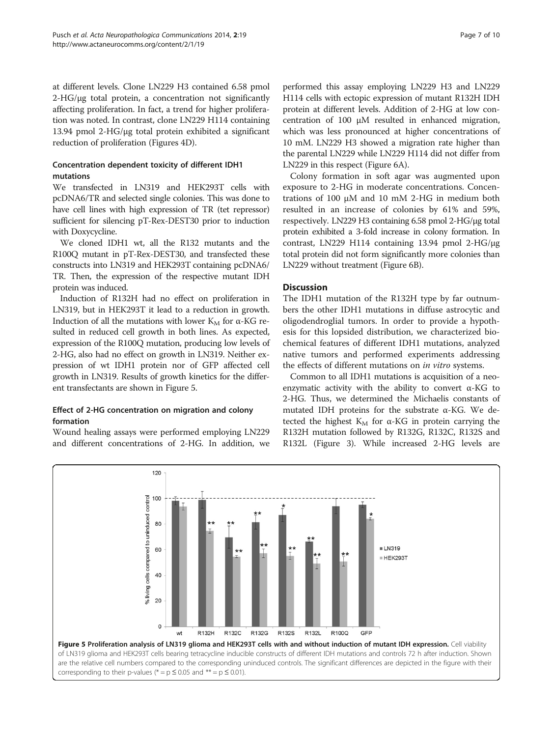at different levels. Clone LN229 H3 contained 6.58 pmol 2-HG/μg total protein, a concentration not significantly affecting proliferation. In fact, a trend for higher proliferation was noted. In contrast, clone LN229 H114 containing 13.94 pmol 2-HG/μg total protein exhibited a significant reduction of proliferation (Figures [4D](#page-5-0)).

# Concentration dependent toxicity of different IDH1 mutations

We transfected in LN319 and HEK293T cells with pcDNA6/TR and selected single colonies. This was done to have cell lines with high expression of TR (tet repressor) sufficient for silencing pT-Rex-DEST30 prior to induction with Doxycycline.

We cloned IDH1 wt, all the R132 mutants and the R100Q mutant in pT-Rex-DEST30, and transfected these constructs into LN319 and HEK293T containing pcDNA6/ TR. Then, the expression of the respective mutant IDH protein was induced.

Induction of R132H had no effect on proliferation in LN319, but in HEK293T it lead to a reduction in growth. Induction of all the mutations with lower  $K_M$  for α-KG resulted in reduced cell growth in both lines. As expected, expression of the R100Q mutation, producing low levels of 2-HG, also had no effect on growth in LN319. Neither expression of wt IDH1 protein nor of GFP affected cell growth in LN319. Results of growth kinetics for the different transfectants are shown in Figure 5.

# Effect of 2-HG concentration on migration and colony formation

Wound healing assays were performed employing LN229 and different concentrations of 2-HG. In addition, we

performed this assay employing LN229 H3 and LN229 H114 cells with ectopic expression of mutant R132H IDH protein at different levels. Addition of 2-HG at low concentration of 100 μM resulted in enhanced migration, which was less pronounced at higher concentrations of 10 mM. LN229 H3 showed a migration rate higher than the parental LN229 while LN229 H114 did not differ from LN229 in this respect (Figure [6A](#page-7-0)).

Colony formation in soft agar was augmented upon exposure to 2-HG in moderate concentrations. Concentrations of 100 μM and 10 mM 2-HG in medium both resulted in an increase of colonies by 61% and 59%, respectively. LN229 H3 containing 6.58 pmol 2-HG/μg total protein exhibited a 3-fold increase in colony formation. In contrast, LN229 H114 containing 13.94 pmol 2-HG/μg total protein did not form significantly more colonies than LN229 without treatment (Figure [6](#page-7-0)B).

# **Discussion**

The IDH1 mutation of the R132H type by far outnumbers the other IDH1 mutations in diffuse astrocytic and oligodendroglial tumors. In order to provide a hypothesis for this lopsided distribution, we characterized biochemical features of different IDH1 mutations, analyzed native tumors and performed experiments addressing the effects of different mutations on in vitro systems.

Common to all IDH1 mutations is acquisition of a neoenzymatic activity with the ability to convert α-KG to 2-HG. Thus, we determined the Michaelis constants of mutated IDH proteins for the substrate  $\alpha$ -KG. We detected the highest  $K_M$  for  $\alpha$ -KG in protein carrying the R132H mutation followed by R132G, R132C, R132S and R132L (Figure [3](#page-4-0)). While increased 2-HG levels are

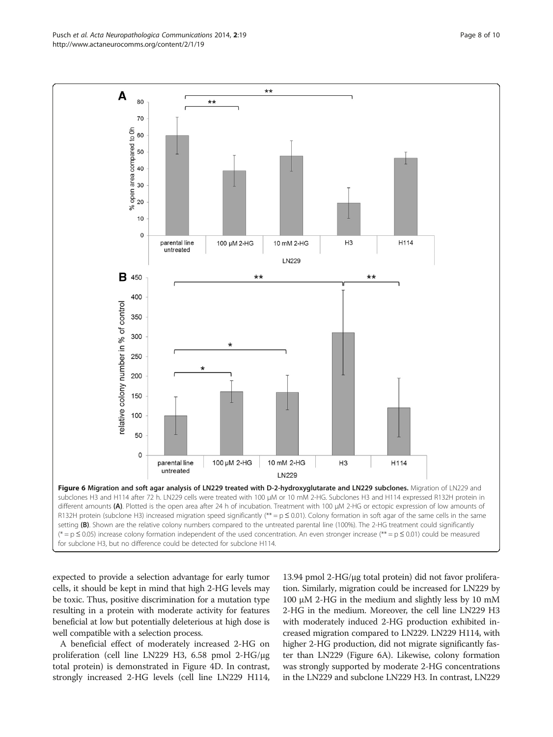<span id="page-7-0"></span>Pusch et al. Acta Neuropathologica Communications 2014, 2:19 Page 8 of 10 http://www.actaneurocomms.org/content/2/1/19



expected to provide a selection advantage for early tumor cells, it should be kept in mind that high 2-HG levels may be toxic. Thus, positive discrimination for a mutation type resulting in a protein with moderate activity for features beneficial at low but potentially deleterious at high dose is well compatible with a selection process.

A beneficial effect of moderately increased 2-HG on proliferation (cell line LN229 H3, 6.58 pmol 2-HG/μg total protein) is demonstrated in Figure [4D](#page-5-0). In contrast, strongly increased 2-HG levels (cell line LN229 H114,

13.94 pmol 2-HG/μg total protein) did not favor proliferation. Similarly, migration could be increased for LN229 by 100 μM 2-HG in the medium and slightly less by 10 mM 2-HG in the medium. Moreover, the cell line LN229 H3 with moderately induced 2-HG production exhibited increased migration compared to LN229. LN229 H114, with higher 2-HG production, did not migrate significantly faster than LN229 (Figure 6A). Likewise, colony formation was strongly supported by moderate 2-HG concentrations in the LN229 and subclone LN229 H3. In contrast, LN229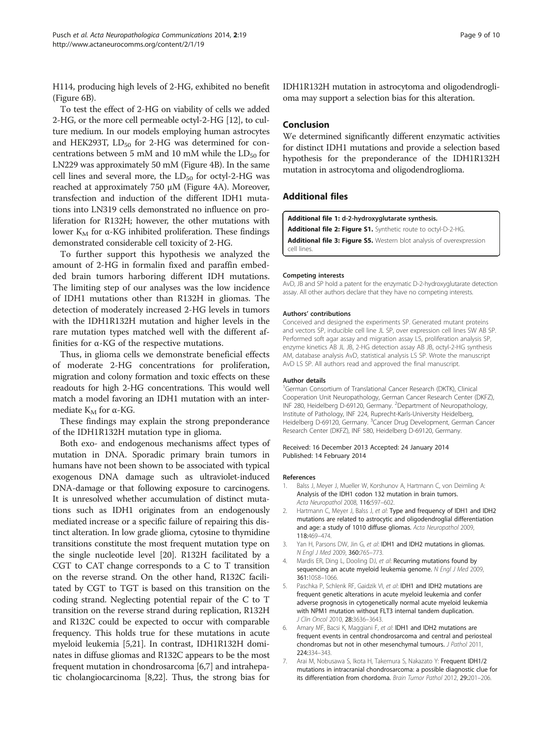<span id="page-8-0"></span>H114, producing high levels of 2-HG, exhibited no benefit (Figure [6](#page-7-0)B).

To test the effect of 2-HG on viability of cells we added 2-HG, or the more cell permeable octyl-2-HG [[12](#page-9-0)], to culture medium. In our models employing human astrocytes and HEK293T,  $LD_{50}$  for 2-HG was determined for concentrations between 5 mM and 10 mM while the  $LD_{50}$  for LN229 was approximately 50 mM (Figure [4B](#page-5-0)). In the same cell lines and several more, the  $LD_{50}$  for octyl-2-HG was reached at approximately 750 μM (Figure [4](#page-5-0)A). Moreover, transfection and induction of the different IDH1 mutations into LN319 cells demonstrated no influence on proliferation for R132H; however, the other mutations with lower K<sub>M</sub> for α-KG inhibited proliferation. These findings demonstrated considerable cell toxicity of 2-HG.

To further support this hypothesis we analyzed the amount of 2-HG in formalin fixed and paraffin embedded brain tumors harboring different IDH mutations. The limiting step of our analyses was the low incidence of IDH1 mutations other than R132H in gliomas. The detection of moderately increased 2-HG levels in tumors with the IDH1R132H mutation and higher levels in the rare mutation types matched well with the different affinities for α-KG of the respective mutations.

Thus, in glioma cells we demonstrate beneficial effects of moderate 2-HG concentrations for proliferation, migration and colony formation and toxic effects on these readouts for high 2-HG concentrations. This would well match a model favoring an IDH1 mutation with an intermediate  $K_M$  for  $\alpha$ -KG.

These findings may explain the strong preponderance of the IDH1R132H mutation type in glioma.

Both exo- and endogenous mechanisms affect types of mutation in DNA. Sporadic primary brain tumors in humans have not been shown to be associated with typical exogenous DNA damage such as ultraviolet-induced DNA-damage or that following exposure to carcinogens. It is unresolved whether accumulation of distinct mutations such as IDH1 originates from an endogenously mediated increase or a specific failure of repairing this distinct alteration. In low grade glioma, cytosine to thymidine transitions constitute the most frequent mutation type on the single nucleotide level [\[20\]](#page-9-0). R132H facilitated by a CGT to CAT change corresponds to a C to T transition on the reverse strand. On the other hand, R132C facilitated by CGT to TGT is based on this transition on the coding strand. Neglecting potential repair of the C to T transition on the reverse strand during replication, R132H and R132C could be expected to occur with comparable frequency. This holds true for these mutations in acute myeloid leukemia [5[,21\]](#page-9-0). In contrast, IDH1R132H dominates in diffuse gliomas and R132C appears to be the most frequent mutation in chondrosarcoma [6,7] and intrahepatic cholangiocarcinoma [\[8,22](#page-9-0)]. Thus, the strong bias for IDH1R132H mutation in astrocytoma and oligodendroglioma may support a selection bias for this alteration.

#### Conclusion

We determined significantly different enzymatic activities for distinct IDH1 mutations and provide a selection based hypothesis for the preponderance of the IDH1R132H mutation in astrocytoma and oligodendroglioma.

# Additional files

[Additional file 1:](http://www.biomedcentral.com/content/supplementary/2051-5960-2-19-S1.pdf) d-2-hydroxyglutarate synthesis.

[Additional file 2: Figure S1.](http://www.biomedcentral.com/content/supplementary/2051-5960-2-19-S2.pdf) Synthetic route to octyl-D-2-HG. [Additional file 3: Figure S5.](http://www.biomedcentral.com/content/supplementary/2051-5960-2-19-S3.pdf) Western blot analysis of overexpression cell lines.

#### Competing interests

AvD, JB and SP hold a patent for the enzymatic D-2-hydroxyglutarate detection assay. All other authors declare that they have no competing interests.

#### Authors' contributions

Conceived and designed the experiments SP. Generated mutant proteins and vectors SP, inducible cell line JL SP, over expression cell lines SW AB SP. Performed soft agar assay and migration assay LS, proliferation analysis SP, enzyme kinetics AB JL JB, 2-HG detection assay AB JB, octyl-2-HG synthesis AM, database analysis AvD, statistical analysis LS SP. Wrote the manuscript AvD LS SP. All authors read and approved the final manuscript.

#### Author details

<sup>1</sup>German Consortium of Translational Cancer Research (DKTK), Clinical Cooperation Unit Neuropathology, German Cancer Research Center (DKFZ), INF 280, Heidelberg D-69120, Germany. <sup>2</sup>Department of Neuropathology Institute of Pathology, INF 224, Ruprecht-Karls-University Heidelberg, Heidelberg D-69120, Germany. <sup>3</sup>Cancer Drug Development, German Cancer Research Center (DKFZ), INF 580, Heidelberg D-69120, Germany.

#### Received: 16 December 2013 Accepted: 24 January 2014 Published: 14 February 2014

#### References

- 1. Balss J, Meyer J, Mueller W, Korshunov A, Hartmann C, von Deimling A: Analysis of the IDH1 codon 132 mutation in brain tumors. Acta Neuropathol 2008, 116:597–602.
- 2. Hartmann C, Meyer J, Balss J, et al: Type and frequency of IDH1 and IDH2 mutations are related to astrocytic and oligodendroglial differentiation and age: a study of 1010 diffuse gliomas. Acta Neuropathol 2009, 118:469–474.
- 3. Yan H, Parsons DW, Jin G, et al: IDH1 and IDH2 mutations in gliomas. N Engl J Med 2009, 360:765–773.
- 4. Mardis ER, Ding L, Dooling DJ, et al: Recurring mutations found by sequencing an acute myeloid leukemia genome. N Engl J Med 2009, 361:1058–1066.
- 5. Paschka P, Schlenk RF, Gaidzik VI, et al: IDH1 and IDH2 mutations are frequent genetic alterations in acute myeloid leukemia and confer adverse prognosis in cytogenetically normal acute myeloid leukemia with NPM1 mutation without FLT3 internal tandem duplication. J Clin Oncol 2010, 28:3636–3643.
- 6. Amary MF, Bacsi K, Maggiani F, et al: IDH1 and IDH2 mutations are frequent events in central chondrosarcoma and central and periosteal chondromas but not in other mesenchymal tumours. J Pathol 2011, 224:334–343.
- 7. Arai M, Nobusawa S, Ikota H, Takemura S, Nakazato Y: Frequent IDH1/2 mutations in intracranial chondrosarcoma: a possible diagnostic clue for its differentiation from chordoma. Brain Tumor Pathol 2012, 29:201–206.